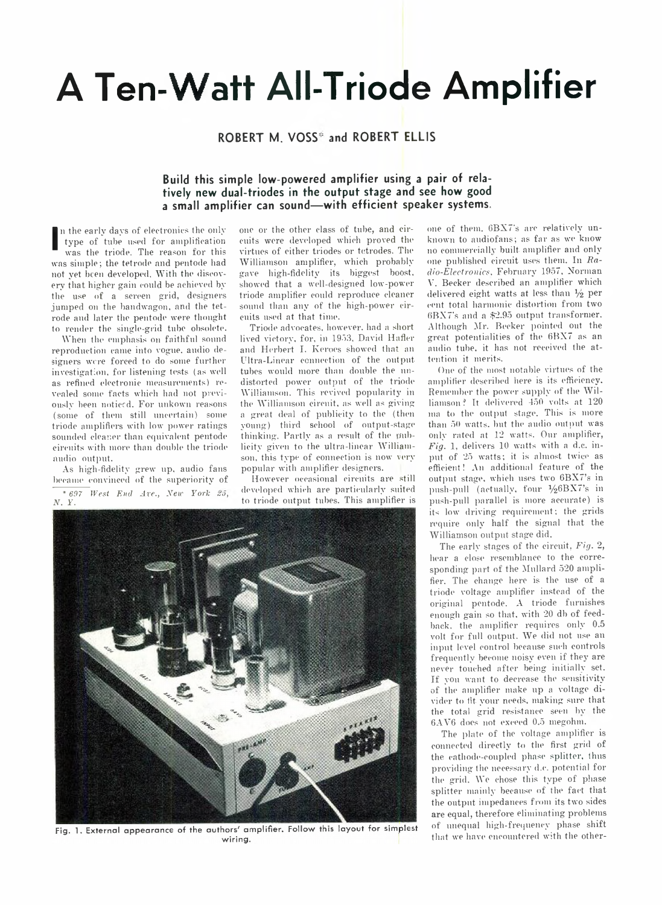# **A Ten-Watt All-Triode Amplifier**

## **ROBERT M. VOSS' and ROBERT ELLIS**

### **Build this simple low-powered amplifier using a pair of relatively new dual-triodes in the output stage and see how good a small amplifier can sound— with efficient speaker systems.**

**I** n the early days of electronics the only type of tube used for amplification was the triode. The reason for this was simple; the tetrode and pentode had not yet been developed. With the discovery that higher gain could be achieved by the use of a screen grid, designers jumped on the bandwagon, and the tetrode and later the pentode were thought to render the single-grid tube obsolete.

When the emphasis on faithful sound reproduction came into vogue, audio designers were forced to do some further investigation, for listening tests (as well as refined electronic measurements) revealed some facts which had not previously been noticed. For unkown reasons (some of them still uncertain) some triode amplifiers with low power ratings sounded cleaner than equivalent pentode circuits with more than double the triode audio output.

As high-fidelity grew up, audio fans became convinced of the superiority of \* *697 West End Are., Few York So, N. Y.*

one or the other class of tube, and circuits were developed which proved the virtues of either triodes or tetrodes. The Williamson amplifier, which probably gave high-fidelity its biggest boost, showed that a well-designed low-power triode amplifier could reproduce cleaner sound than any of the high-power circuits used at that time.

Triode advocates, however, had a short lived victory, for, in 1953, David Hafler and Herbert I. Keroes showed that an Ultra-Linear connection of the outputtubes would more than double the undistorted power output of the triode Williamson. This revived popularity in the Williamson circuit, as well as giving a great deal of publicity to the (then young) third school of output-stage thinking. Partly as a result of the publicity given to the ultra-linear Williamson, this type of connection is now very popular with amplifier designers.

However occasional circuits are still developed which are particularly suited to triode output tubes. This amplifier is



Fig. 1. External appearance of the authors' amplifier. Follow this layout for simplest wiring.

one of them. 6BX7's arc relatively unknown to audiofans; as far as we know no commercially built amplifier and only one published circuit uses them. In *Radio-Electronics,* February 1957, Norman V. Becker described an amplifier which delivered eight watts at less than  $\frac{1}{2}$  per cent total harmonic distortion from two  $6B<sub>X7</sub>'s$  and a  $$2.95$  output transformer. Although Mr. Becker pointed out the great potentialities of the 6BX7 as an audio tube, it has not received the attention it merits.

One of the most notable virtues of the amplifier described here is its efficiency. Remember the power supply of the Williamson ? It delivered 450 volts at 120 ma to the output stage. This is more than 50 watts, but the audio output was only rated at 12 watts. Our amplifier, *Fig.* 1, delivers 10 watts with a d.c. input of 25 watts; it is almost twice as efficient! An additional feature of the output stage, which uses two 6BX7's in push-pull (actually, four  $\frac{1}{2}6B X 7$ 's in push-pull parallel is more accurate) is its low driving requirement; the grids require only half the signal that the Williamson output stage did.

The early stages of the circuit, *Fig.* 2, hear a close resemblance to the corresponding part of the Milliard 520 amplifier. The change here is the use of a triode voltage amplifier instead of the original pentode. A triode furnishes enough gain so that, with 20 db of feedback, the amplifier requires only 0.5 volt for full output. We did not use an input level control because such controls frequently become noisy even if they are never touched after being initially set. If you want to decrease the sensitivity of the amplifier make up a voltage divider to lit your needs, making sure that the total grid resistance seen hv the 6AV6 does not exceed 0.5 megohm.

The plate of the voltage amplifier is connected directly to the first grid of the cathode-coupled phase splitter, thus providing the necessary d.c. potential for the grid. We chose this type of phase splitter mainly because of the fact that the output impedances from its two sides are equal, therefore eliminating problems of unequal high-frequency phase shift that we have encountered with the other-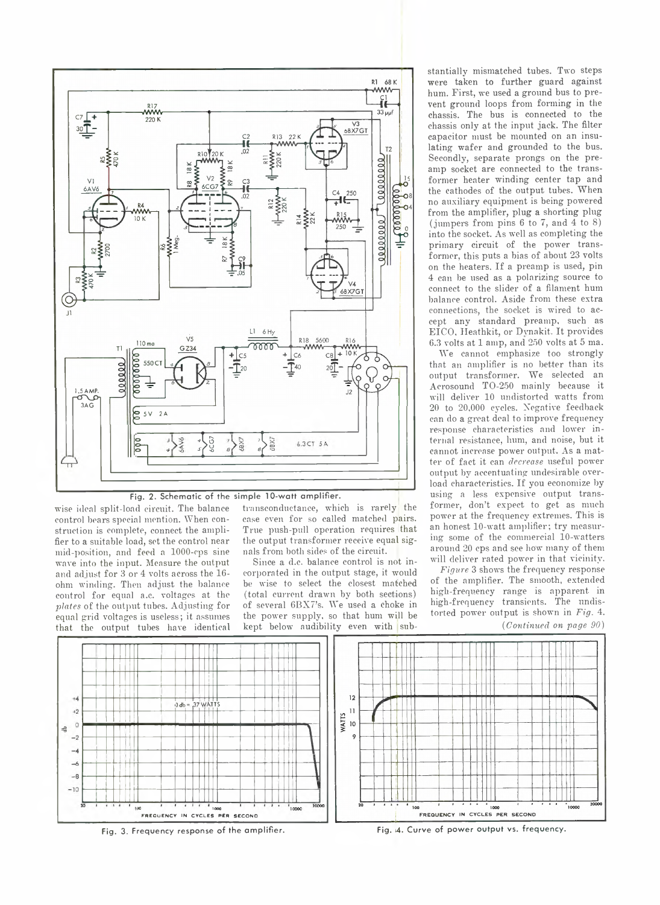

#### **Fig. 2. Schematic of the simple 10-watt amplifier.**

wise ideal split-load circuit. The balance control bears special mention. When construction is complete, connect the amplifier to a suitable load, set the control near mid-position, and feed a 1000-cps sine wave into the input. Measure the output and adjust for 3 or 4 volts across the 16 ohm winding. Then adjust the balance control for equal a.c. voltages at the *plates* of the output tubes. Adjusting for equal grid voltages is useless; it assumes that the output tubes have identical transeonduetance, which is rarely the case even for so called matched pairs. True push-pull operation requires that the output transformer receive equal signals from both sides of the circuit.

Since a d.c. balance control is not incorporated in the output stage, it would be wise to select the closest matched (total current drawn by both sections) of several 6BX7's. We used a choke in the power supply, so that hum will be kept below audibility even with substantially mismatched tubes. Two steps were taken to further guard against hum. First, we used a ground bus to prevent ground loops from forming in the chassis. The bus is connected to the chassis only at the input jack. The filter capacitor must be mounted on an insulating wafer and grounded to the bus. Secondly, separate prongs on the preamp socket are connected to the transformer heater winding center tap and the cathodes of the output tubes. When no auxiliary equipment is being powered from the amplifier, plug a shorting plug (jumpers from pins 6 to 7, and 4 to S) into the socket. As well as completing the primary circuit of the power transformer, this puts a bias of about 23 volts on the heaters. If a preamp is used, pin 4 can be used as a polarizing source to connect to the slider of a filament hum balance control. Aside from these extra connections, the socket is wired to accept any standard preamp, such as EICO, lieathkit, or Dvnakit, It provides 6.3 volts at 1 amp, and 250 volts at 5 ma.

We cannot emphasize too strongly that an amplifier is no better than its output transformer. We selected an Acrosound TO-250 mainly because it will deliver 10 undistorted watts from 20 to 20,000 cycles. Negative feedback can do a great deal to improve frequency response characteristics and lower internal resistance, hum, and noise, but it cannot increase power output. As a matter of fact it can *decrease* useful power output by accentuating undesirable overload characteristics. If you economize by using a less expensive output transformer, don't expect to get as much power at the frequency extremes. This is an honest 10-watt amplifier; try measuring some of the commercial 10-watters around 20 eps and see how many of them will deliver rated power in that vicinity.

*Figure* 3 shows the frequency response of the amplifier. The smooth, extended high-frequency range is apparent in high-frequency transients. The undistorted power output is shown in *Fig.* 4. *(Continued on page 90)*



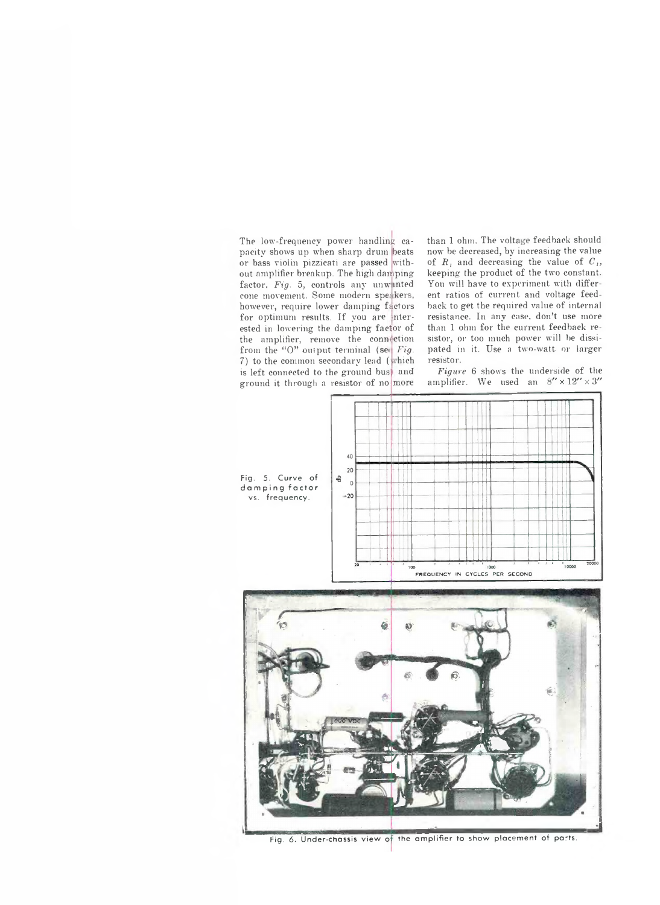The low-frequency power handling capacity shows up when sharp drum beats or bass violin pizzicati are passed without amplifier breakup. The high damping1 factor, Fig. 5, controls any unw inted cone movement. Some modern speakers, however, require lower damping factors for optimum results. If you are interested in lowering the damping factor of the amplifier, remove the connection from the "O" output terminal (see Fig. 7) to the common secondary lead (which is left connected to the ground bus) and ground it through a resistor of no

than 1 ohm. The voltage feedback should now be decreased, by increasing the value of  $R_1$  and decreasing the value of  $C_1$ , keeping the product of the two constant. You will have to experiment with different ratios of current and voltage feedback to get the required value of internal resistance. In any case, don't use more than 1 ohm for the current feedback resistor, or too much power will be dissipated in it. Use a two-watt or larger resistor.

*Figure* 6 shows the underside of the amplifier. We used an 8" x *12"* x 3"



**Fig. 6. Under-chassis view the am plifier to show placement of parts.**